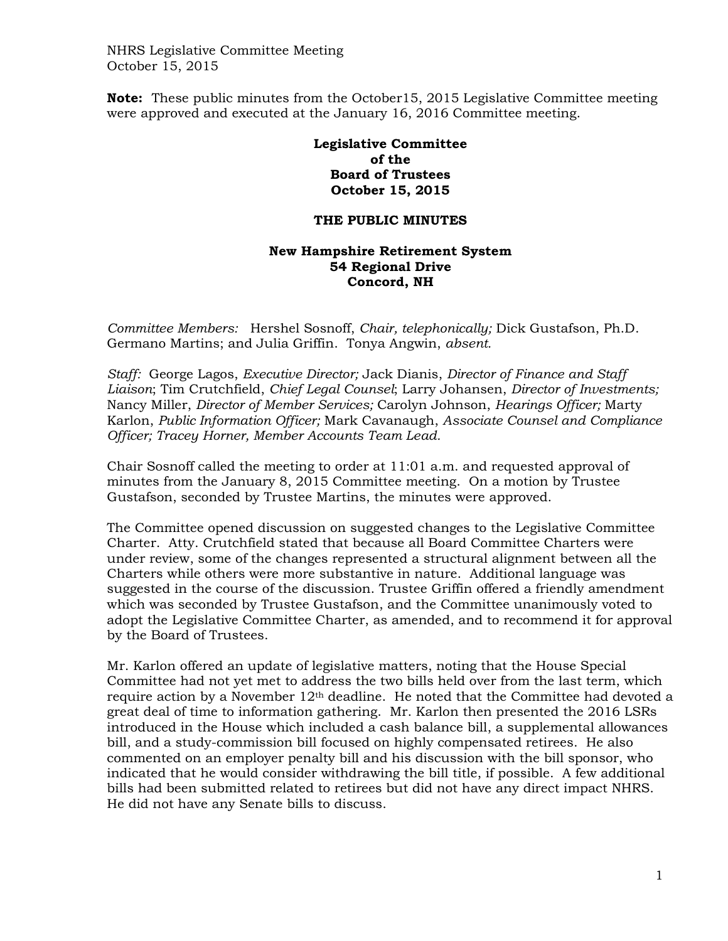NHRS Legislative Committee Meeting October 15, 2015

**Note:** These public minutes from the October15, 2015 Legislative Committee meeting were approved and executed at the January 16, 2016 Committee meeting.

> **Legislative Committee of the Board of Trustees October 15, 2015**

## **THE PUBLIC MINUTES**

## **New Hampshire Retirement System 54 Regional Drive Concord, NH**

*Committee Members:* Hershel Sosnoff, *Chair, telephonically;* Dick Gustafson, Ph.D. Germano Martins; and Julia Griffin. Tonya Angwin, *absent.* 

*Staff:* George Lagos, *Executive Director;* Jack Dianis, *Director of Finance and Staff Liaison*; Tim Crutchfield, *Chief Legal Counsel*; Larry Johansen, *Director of Investments;* Nancy Miller, *Director of Member Services;* Carolyn Johnson, *Hearings Officer;* Marty Karlon, *Public Information Officer;* Mark Cavanaugh, *Associate Counsel and Compliance Officer; Tracey Horner, Member Accounts Team Lead.*

Chair Sosnoff called the meeting to order at 11:01 a.m. and requested approval of minutes from the January 8, 2015 Committee meeting. On a motion by Trustee Gustafson, seconded by Trustee Martins, the minutes were approved.

The Committee opened discussion on suggested changes to the Legislative Committee Charter. Atty. Crutchfield stated that because all Board Committee Charters were under review, some of the changes represented a structural alignment between all the Charters while others were more substantive in nature. Additional language was suggested in the course of the discussion. Trustee Griffin offered a friendly amendment which was seconded by Trustee Gustafson, and the Committee unanimously voted to adopt the Legislative Committee Charter, as amended, and to recommend it for approval by the Board of Trustees.

Mr. Karlon offered an update of legislative matters, noting that the House Special Committee had not yet met to address the two bills held over from the last term, which require action by a November  $12<sup>th</sup>$  deadline. He noted that the Committee had devoted a great deal of time to information gathering. Mr. Karlon then presented the 2016 LSRs introduced in the House which included a cash balance bill, a supplemental allowances bill, and a study-commission bill focused on highly compensated retirees. He also commented on an employer penalty bill and his discussion with the bill sponsor, who indicated that he would consider withdrawing the bill title, if possible. A few additional bills had been submitted related to retirees but did not have any direct impact NHRS. He did not have any Senate bills to discuss.